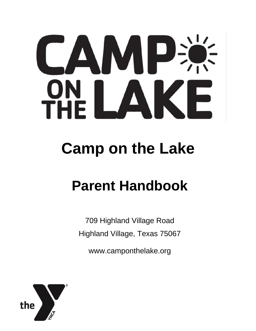# CAMP:  $\frac{1}{E}$   $\blacksquare$ **PH** F

## **Camp on the Lake**

## **Parent Handbook**

709 Highland Village Road Highland Village, Texas 75067

www.camponthelake.org

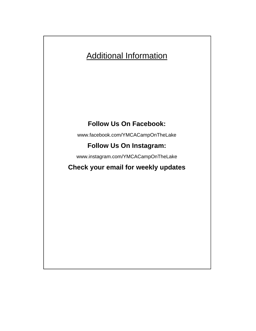## Additional Information

## **Follow Us On Facebook:**

www.facebook.com/YMCACampOnTheLake

## **Follow Us On Instagram:**

www.instagram.com/YMCACampOnTheLake

## **Check your email for weekly updates**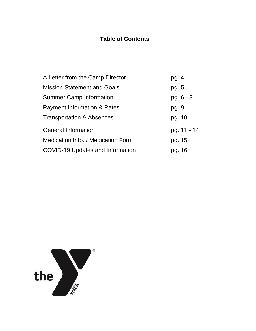## **Table of Contents**

| A Letter from the Camp Director        | pg. 4       |
|----------------------------------------|-------------|
| <b>Mission Statement and Goals</b>     | pg. 5       |
| <b>Summer Camp Information</b>         | $pg. 6 - 8$ |
| <b>Payment Information &amp; Rates</b> | pg. 9       |
| <b>Transportation &amp; Absences</b>   | pg. 10      |
| <b>General Information</b>             | pg. 11 - 14 |
| Medication Info. / Medication Form     | pg. 15      |
| COVID-19 Updates and Information       | pg. 16      |

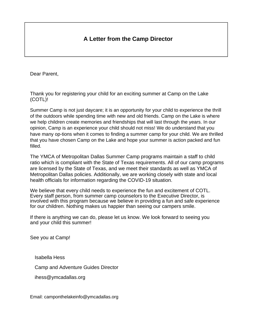### **A Letter from the Camp Director**

Dear Parent,

Thank you for registering your child for an exciting summer at Camp on the Lake (COTL)!

Summer Camp is not just daycare; it is an opportunity for your child to experience the thrill of the outdoors while spending time with new and old friends. Camp on the Lake is where we help children create memories and friendships that will last through the years. In our opinion, Camp is an experience your child should not miss! We do understand that you have many op-tions when it comes to finding a summer camp for your child. We are thrilled that you have chosen Camp on the Lake and hope your summer is action packed and fun filled.

The YMCA of Metropolitan Dallas Summer Camp programs maintain a staff to child ratio which is compliant with the State of Texas requirements. All of our camp programs are licensed by the State of Texas, and we meet their standards as well as YMCA of Metropolitan Dallas policies. Additionally, we are working closely with state and local health officials for information regarding the COVID-19 situation.

We believe that every child needs to experience the fun and excitement of COTL. Every staff person, from summer camp counselors to the Executive Director, is involved with this program because we believe in providing a fun and safe experience for our children. Nothing makes us happier than seeing our campers smile.

If there is anything we can do, please let us know. We look forward to seeing you and your child this summer!

See you at Camp!

Isabella Hess

Camp and Adventure Guides Director

ihess@ymcadallas.org

Email: camponthelakeinfo@ymcadallas.org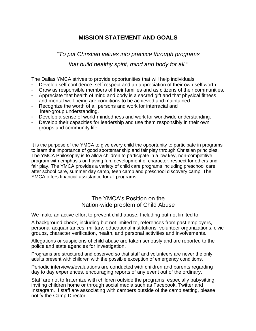#### **MISSION STATEMENT AND GOALS**

## *"To put Christian values into practice through programs that build healthy spirit, mind and body for all."*

The Dallas YMCA strives to provide opportunities that will help individuals:

- Develop self confidence, self respect and an appreciation of their own self worth.
- Grow as responsible members of their families and as citizens of their communities.
- Appreciate that health of mind and body is a sacred gift and that physical fitness and mental well-being are conditions to be achieved and maintained.
- Recognize the worth of all persons and work for interracial and inter-group understanding.
- Develop a sense of world-mindedness and work for worldwide understanding.
- Develop their capacities for leadership and use them responsibly in their own groups and community life.

It is the purpose of the YMCA to give every child the opportunity to participate in programs to learn the importance of good sportsmanship and fair play through Christian principles. The YMCA Philosophy is to allow children to participate in a low key, non-competitive program with emphasis on having fun, development of character, respect for others and fair play. The YMCA provides a variety of child care programs including preschool care, after school care, summer day camp, teen camp and preschool discovery camp. The YMCA offers financial assistance for all programs.

#### The YMCA's Position on the Nation-wide problem of Child Abuse

We make an active effort to prevent child abuse. Including but not limited to:

A background check, including but not limited to, references from past employers, personal acquaintances, military, educational institutions, volunteer organizations, civic groups, character verification, health, and personal activities and involvements.

Allegations or suspicions of child abuse are taken seriously and are reported to the police and state agencies for investigation.

Programs are structured and observed so that staff and volunteers are never the only adults present with children with the possible exception of emergency conditions.

Periodic interviews/evaluations are conducted with children and parents regarding day to day experiences, encouraging reports of any event out of the ordinary.

Staff are not to fraternize with children outside the programs, especially babysitting, inviting children home or through social media such as Facebook, Twitter and Instagram. If staff are associating with campers outside of the camp setting, please notify the Camp Director.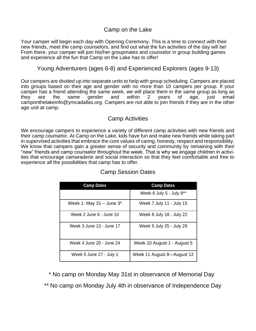#### Camp on the Lake

Your camper will begin each day with Opening Ceremony. This is a time to connect with their new friends, meet the camp counselors, and find out what the fun activities of the day will be! From there, your camper will join his/her groupmates and counselor in group building games and experience all the fun that Camp on the Lake has to offer!

#### Young Adventurers (ages 6-8) and Experienced Explorers (ages 9-13)

Our campers are divided up into separate units to help with group scheduling. Campers are placed into groups based on their age and gender with no more than 10 campers per group. If your camper has a friend attending the same week, we will place them in the same group as long as they are the same gender and within 2 years of age, just email camponthelakeinfo@ymcadallas.org. Campers are not able to join friends if they are in the other age unit at camp.

#### Camp Activities

We encourage campers to experience a variety of different camp activities with new friends and their camp counselor. At Camp on the Lake, kids have fun and make new friends while taking part in supervised activities that embrace the core values of caring, honesty, respect and responsibility. We know that campers gain a greater sense of security and community by remaining with their "new" friends and camp counselor throughout the week. That is why we engage children in activities that encourage camaraderie and social interaction so that they feel comfortable and free to experience all the possibilities that camp has to offer.

| <b>Camp Dates</b>           | <b>Camp Dates</b>           |  |  |
|-----------------------------|-----------------------------|--|--|
|                             | Week 6 July 5 - July 8**    |  |  |
| Week 1: May 31 – June $3^*$ | Week 7 July 11 - July 15    |  |  |
| Week 2 June 6 - June 10     | Week 8 July 18 - July 22    |  |  |
| Week 3 June 13 - June 17    | Week 9 July 25 - July 29    |  |  |
| Week 4 June 20 - June 24    | Week 10 August 1 - August 5 |  |  |
| Week 5 June 27 - July 1     | Week 11 August 8-August 12  |  |  |

#### Camp Session Dates

\* No camp on Monday May 31st in observance of Memorial Day

\*\* No camp on Monday July 4th in observance of Independence Day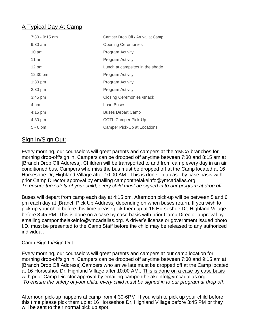## A Typical Day At Camp

| $7:30 - 9:15$ am  | Camper Drop Off / Arrival at Camp |
|-------------------|-----------------------------------|
| $9:30$ am         | <b>Opening Ceremonies</b>         |
| $10 \text{ am}$   | Program Activity                  |
| 11 am             | Program Activity                  |
| 12 pm             | Lunch at campsites in the shade   |
| 12:30 pm          | <b>Program Activity</b>           |
| $1:30$ pm         | Program Activity                  |
| $2:30$ pm         | Program Activity                  |
| $3:45$ pm         | <b>Closing Ceremonies /snack</b>  |
| 4 pm              | <b>Load Buses</b>                 |
| $4:15 \text{ pm}$ | <b>Buses Depart Camp</b>          |
| 4:30 pm           | <b>COTL Camper Pick-Up</b>        |
| 5 - 6 pm          | Camper Pick-Up at Locations       |

#### Sign In/Sign Out:

Every morning, our counselors will greet parents and campers at the YMCA branches for morning drop-off/sign in. Campers can be dropped off anytime between 7:30 and 8:15 am at [Branch Drop Off Address]. Children will be transported to and from camp every day in an air conditioned bus. Campers who miss the bus must be dropped off at the Camp located at 16 Horseshoe Dr, Highland Village after 10:00 AM., This is done on a case by case basis with prior Camp Director approval by emailing camponthelakeinfo@ymcadallas.org. *To ensure the safety of your child, every child must be signed in to our program at drop off*.

Buses will depart from camp each day at 4:15 pm. Afternoon pick-up will be between 5 and 6 pm each day at [Branch Pick Up Address] depending on when buses return. If you wish to pick up your child before this time please pick them up at 16 Horseshoe Dr, Highland Village before 3:45 PM. This is done on a case by case basis with prior Camp Director approval by emailing camponthelakeinfo@ymcadallas.org. A driver's license or government issued photo I.D. must be presented to the Camp Staff before the child may be released to any authorized individual.

#### Camp Sign In/Sign Out:

Every morning, our counselors will greet parents and campers at our camp location for morning drop-off/sign in. Campers can be dropped off anytime between 7:30 and 9:15 am at [Branch Drop Off Address].Campers who arrive late must be dropped off at the Camp located at 16 Horseshoe Dr, Highland Village after 10:00 AM., This is done on a case by case basis with prior Camp Director approval by emailing camponthelakeinfo@ymcadallas.org. *To ensure the safety of your child, every child must be signed in to our program at drop off*.

Afternoon pick-up happens at camp from 4:30-6PM. If you wish to pick up your child before this time please pick them up at 16 Horseshoe Dr, Highland Village before 3:45 PM or they will be sent to their normal pick up spot.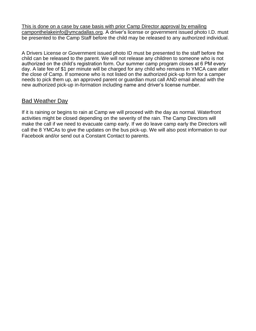This is done on a case by case basis with prior Camp Director approval by emailing camponthelakeinfo@ymcadallas.org. A driver's license or government issued photo I.D. must be presented to the Camp Staff before the child may be released to any authorized individual.

A Drivers License or Government issued photo ID must be presented to the staff before the child can be released to the parent. We will not release any children to someone who is not authorized on the child's registration form. Our summer camp program closes at 6 PM every day. A late fee of \$1 per minute will be charged for any child who remains in YMCA care after the close of Camp. If someone who is not listed on the authorized pick-up form for a camper needs to pick them up, an approved parent or guardian must call AND email ahead with the new authorized pick-up in-formation including name and driver's license number.

#### Bad Weather Day

If it is raining or begins to rain at Camp we will proceed with the day as normal. Waterfront activities might be closed depending on the severity of the rain. The Camp Directors will make the call if we need to evacuate camp early. If we do leave camp early the Directors will call the 8 YMCAs to give the updates on the bus pick-up. We will also post information to our Facebook and/or send out a Constant Contact to parents.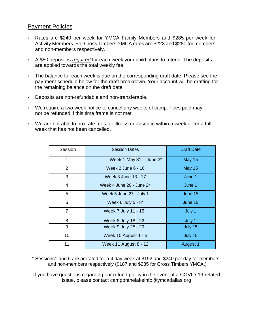#### Payment Policies

- Rates are \$240 per week for YMCA Family Members and \$285 per week for Activity Members. For Cross Timbers YMCA rates are \$223 and \$280 for members and non-members respectively.
- A \$50 deposit is *required* for each week your child plans to attend. The deposits are applied towards the total weekly fee.
- The balance for each week is due on the corresponding draft date. Please see the pay-ment schedule below for the draft breakdown. Your account will be drafting for the remaining balance on the draft date.
- Deposits are non-refundable and non-transferable.
- We require a two week notice to cancel any weeks of camp. Fees paid may not be refunded if this time frame is not met.
- We are not able to pro-rate fees for illness or absence within a week or for a full week that has not been cancelled.

| Session        | <b>Session Dates</b>       | <b>Draft Date</b> |  |  |
|----------------|----------------------------|-------------------|--|--|
| 1              | Week 1 May 31 - June $3^*$ | <b>May 15</b>     |  |  |
| 2              | Week 2 June 6 - 10         | <b>May 15</b>     |  |  |
| 3              | Week 3 June 13 - 17        | June 1            |  |  |
| 4              | Week 4 June 20 - June 24   | June 1            |  |  |
| 5              | Week 5 June 27 - July 1    | June 15           |  |  |
| 6              | Week 6 July $5 - 8^*$      | June 15           |  |  |
| $\overline{7}$ | Week 7 July 11 - 15        | July 1            |  |  |
| 8              | Week 8 July 18 - 22        | July 1            |  |  |
| 9              | Week 9 July 25 - 29        | July 15           |  |  |
| 10             | Week 10 August 1 - 5       | July 15           |  |  |
| 11             | Week 11 August 8 - 12      | August 1          |  |  |

\* Sessions1 and 6 are prorated for a 4 day week at \$192 and \$240 per day for members and non-members respectively (\$187 and \$235 for Cross Timbers YMCA.)

If you have questions regarding our refund policy in the event of a COVID-19 related issue, please contact camponthelakeinfo@ymcadallas.org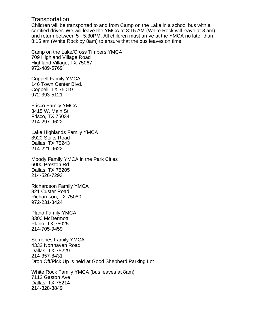#### **Transportation**

Children will be transported to and from Camp on the Lake in a school bus with a certified driver. We will leave the YMCA at 8:15 AM (White Rock will leave at 8 am) and return between 5 - 5:30PM. All children must arrive at the YMCA no later than 8:15 am (White Rock by 8am) to ensure that the bus leaves on time.

Camp on the Lake/Cross Timbers YMCA 709 Highland Village Road Highland Village, TX 75067 972-489-5769

Coppell Family YMCA 146 Town Center Blvd. Coppell, TX 75019 972-393-5121

Frisco Family YMCA 3415 W. Main St Frisco, TX 75034 214-297-9622

Lake Highlands Family YMCA 8920 Stults Road Dallas, TX 75243 214-221-9622

Moody Family YMCA in the Park Cities 6000 Preston Rd Dallas, TX 75205 214-526-7293

Richardson Family YMCA 821 Custer Road Richardson, TX 75080 972-231-3424

Plano Family YMCA 3300 McDermott Plano, TX 75025 214-705-9459

Semones Family YMCA 4332 Northaven Road Dallas, TX 75229 214-357-8431 Drop Off/Pick Up is held at Good Shepherd Parking Lot

White Rock Family YMCA (bus leaves at 8am) 7112 Gaston Ave Dallas, TX 75214 214-328-3849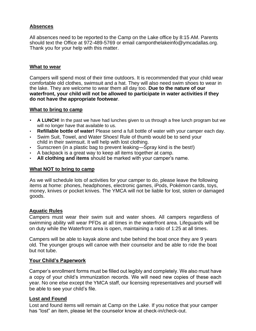#### **Absences**

All absences need to be reported to the Camp on the Lake office by 8:15 AM. Parents should text the Office at 972-489-5769 or email camponthelakeinfo@ymcadallas.org. Thank you for your help with this matter.

#### **What to wear**

Campers will spend most of their time outdoors. It is recommended that your child wear comfortable old clothes, swimsuit and a hat. They will also need swim shoes to wear in the lake. They are welcome to wear them all day too. **Due to the nature of our waterfront, your child will not be allowed to participate in water activities if they do not have the appropriate footwear**.

#### **What to bring to camp**

- **A LUNCH!** In the past we have had lunches given to us through a free lunch program but we will no longer have that available to us.
- **Refillable bottle of water!** Please send a full bottle of water with your camper each day.
- Swim Suit, Towel, and Water Shoes! Rule of thumb would be to send your child in their swimsuit. It will help with lost clothing.
- Sunscreen (in a plastic bag to prevent leaking—Spray kind is the best!)
- A backpack is a great way to keep all items together at camp.
- **All clothing and items** should be marked with your camper's name.

#### **What NOT to bring to camp**

As we will schedule lots of activities for your camper to do, please leave the following items at home: phones, headphones, electronic games, iPods, Pokémon cards, toys, money, knives or pocket knives. The YMCA will not be liable for lost, stolen or damaged goods.

#### **Aquatic Rules**

Campers must wear their swim suit and water shoes. All campers regardless of swimming ability will wear PFDs at all times in the waterfront area. Lifeguards will be on duty while the Waterfront area is open, maintaining a ratio of 1:25 at all times.

Campers will be able to kayak alone and tube behind the boat once they are 9 years old. The younger groups will canoe with their counselor and be able to ride the boat but not tube.

#### **Your Child's Paperwork**

Camper's enrollment forms must be filled out legibly and completely. We also must have a copy of your child's immunization records. We will need new copies of these each year. No one else except the YMCA staff, our licensing representatives and yourself will be able to see your child's file.

#### **Lost and Found**

Lost and found items will remain at Camp on the Lake. If you notice that your camper has "lost" an item, please let the counselor know at check-in/check-out.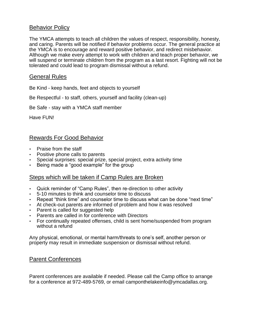#### Behavior Policy

The YMCA attempts to teach all children the values of respect, responsibility, honesty, and caring. Parents will be notified if behavior problems occur. The general practice at the YMCA is to encourage and reward positive behavior, and redirect misbehavior. Although we make every attempt to work with children and teach proper behavior, we will suspend or terminate children from the program as a last resort. Fighting will not be tolerated and could lead to program dismissal without a refund.

#### General Rules

Be Kind - keep hands, feet and objects to yourself

Be Respectful - to staff, others, yourself and facility (clean-up)

Be Safe - stay with a YMCA staff member

Have FUN!

#### Rewards For Good Behavior

- Praise from the staff
- Positive phone calls to parents
- Special surprises: special prize, special project, extra activity time
- Being made a "good example" for the group

#### Steps which will be taken if Camp Rules are Broken

- Quick reminder of "Camp Rules", then re-direction to other activity
- 5-10 minutes to think and counselor time to discuss
- Repeat "think time" and counselor time to discuss what can be done "next time"
- At check-out parents are informed of problem and how it was resolved
- Parent is called for suggested help
- Parents are called in for conference with Directors
- For continually repeated offenses, child is sent home/suspended from program without a refund

Any physical, emotional, or mental harm/threats to one's self, another person or property may result in immediate suspension or dismissal without refund.

#### Parent Conferences

Parent conferences are available if needed. Please call the Camp office to arrange for a conference at 972-489-5769, or email camponthelakeinfo@ymcadallas.org.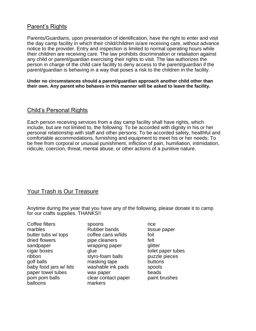#### Parent's Rights

Parents/Guardians, upon presentation of identification, have the right to enter and visit the day camp facility in which their child/children is/are receiving care, without advance notice to the provider. Entry and inspection is limited to normal operating hours while their children are receiving care. The law prohibits discrimination or retaliation against any child or parent/guardian exercising their rights to visit. The law authorizes the person in charge of the child care facility to deny access to the parent/guardian if the parent/guardian is behaving in a way that poses a risk to the children in the facility.

**Under no circumstances should a parent/guardian approach another child other than their own. Any parent who behaves in this manner will be asked to leave the facility.**

#### Child's Personal Rights

Each person receiving services from a day camp facility shall have rights, which include, but are not limited to, the following: To be accorded with dignity in his or her personal relationship with staff and other persons; To be accorded safety, healthful and comfortable accommodations, furnishing and equipment to meet his or her needs; To be free from corporal or unusual punishment, infliction of pain, humiliation, intimidation, ridicule, coercion, threat, mental abuse, or other actions of a punitive nature.

#### Your Trash is Our Treasure

Anytime during the year that you have any of the following, please donate it to camp for our crafts supplies. THANKS!!

| Coffee filters         |
|------------------------|
| marbles                |
| butter tubs w/ tops    |
| dried flowers          |
| sandpaper              |
| cigar boxes            |
| ribbon                 |
| golf balls             |
| baby food jars w/ lids |
| paper towel tubes      |
| pom pom balls          |
| balloons               |

spoons rice Rubber bands tissue paper coffee cans w/lids foil pipe cleaners felt wrapping paper glitter qlue toilet paper tubes styro-foam balls puzzle pieces masking tape buttons washable ink pads spools wax paper beads clear contact paper paint brushes markers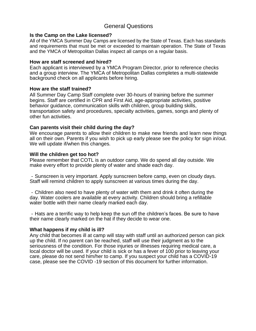#### General Questions

#### **Is the Camp on the Lake licensed?**

All of the YMCA Summer Day Camps are licensed by the State of Texas. Each has standards and requirements that must be met or exceeded to maintain operation. The State of Texas and the YMCA of Metropolitan Dallas inspect all camps on a regular basis.

#### **How are staff screened and hired?**

Each applicant is interviewed by a YMCA Program Director, prior to reference checks and a group interview. The YMCA of Metropolitan Dallas completes a multi-statewide background check on all applicants before hiring.

#### **How are the staff trained?**

All Summer Day Camp Staff complete over 30-hours of training before the summer begins. Staff are certified in CPR and First Aid, age-appropriate activities, positive behavior guidance, communication skills with children, group building skills, transportation safety and procedures, specialty activities, games, songs and plenty of other fun activities.

#### **Can parents visit their child during the day?**

We encourage parents to allow their children to make new friends and learn new things all on their own. Parents if you wish to pick up early please see the policy for sign in/out. We will update if/when this changes.

#### **Will the children get too hot?**

Please remember that COTL is an outdoor camp. We do spend all day outside. We make every effort to provide plenty of water and shade each day.

- Sunscreen is very important. Apply sunscreen before camp, even on cloudy days. Staff will remind children to apply sunscreen at various times during the day.

- Children also need to have plenty of water with them and drink it often during the day. Water coolers are available at every activity. Children should bring a refillable water bottle with their name clearly marked each day.

- Hats are a terrific way to help keep the sun off the children's faces. Be sure to have their name clearly marked on the hat if they decide to wear one.

#### **What happens if my child is ill?**

Any child that becomes ill at camp will stay with staff until an authorized person can pick up the child. If no parent can be reached, staff will use their judgment as to the seriousness of the condition. For those injuries or illnesses requiring medical care, a local doctor will be used. If your child is sick or has a fever of 100 prior to leaving your care, please do not send him/her to camp. If you suspect your child has a COVID-19 case, please see the COVID -19 section of this document for further information.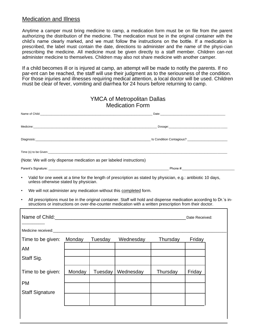#### Medication and Illness

Anytime a camper must bring medicine to camp, a medication form must be on file from the parent authorizing the distribution of the medicine. The medication must be in the original container with the child's name clearly marked, and we must follow the instructions on the bottle. If a medication is prescribed, the label must contain the date, directions to administer and the name of the physi-cian prescribing the medicine. All medicine must be given directly to a staff member. Children can-not administer medicine to themselves. Children may also not share medicine with another camper.

If a child becomes ill or is injured at camp, an attempt will be made to notify the parents. If no par-ent can be reached, the staff will use their judgment as to the seriousness of the condition. For those injuries and illnesses requiring medical attention, a local doctor will be used. Children must be clear of fever, vomiting and diarrhea for 24 hours before returning to camp.

|                                                                                                                                                                                                                                      |        |         | <b>YMCA of Metropolitan Dallas</b><br><b>Medication Form</b>                                                                                                                                                                    |          |        |  |
|--------------------------------------------------------------------------------------------------------------------------------------------------------------------------------------------------------------------------------------|--------|---------|---------------------------------------------------------------------------------------------------------------------------------------------------------------------------------------------------------------------------------|----------|--------|--|
|                                                                                                                                                                                                                                      |        |         |                                                                                                                                                                                                                                 |          |        |  |
| Medicine: <b>National Community of Community Community Community Community Community Community Community Community Community Community Community Community Community Community Community Community Community Community Community</b> |        |         |                                                                                                                                                                                                                                 |          |        |  |
|                                                                                                                                                                                                                                      |        |         |                                                                                                                                                                                                                                 |          |        |  |
|                                                                                                                                                                                                                                      |        |         |                                                                                                                                                                                                                                 |          |        |  |
| (Note: We will only dispense medication as per labeled instructions)                                                                                                                                                                 |        |         |                                                                                                                                                                                                                                 |          |        |  |
| Parent's Signature: Note and the set of the set of the set of the set of the set of the set of the set of the set of the set of the set of the set of the set of the set of the set of the set of the set of the set of the se       |        |         |                                                                                                                                                                                                                                 |          |        |  |
| $\bullet$<br>unless otherwise stated by physician.                                                                                                                                                                                   |        |         | Valid for one week at a time for the length of prescription as stated by physician, e.g.: antibiotic 10 days,                                                                                                                   |          |        |  |
| $\bullet$                                                                                                                                                                                                                            |        |         | We will not administer any medication without this completed form.                                                                                                                                                              |          |        |  |
|                                                                                                                                                                                                                                      |        |         | All prescriptions must be in the original container. Staff will hold and dispense medication according to Dr.'s in-<br>structions or instructions on over-the-counter medication with a written prescription from their doctor. |          |        |  |
|                                                                                                                                                                                                                                      |        |         |                                                                                                                                                                                                                                 |          |        |  |
| Medicine received: We are a state of the state of the state of the state of the state of the state of the state of the state of the state of the state of the state of the state of the state of the state of the state of the       |        |         |                                                                                                                                                                                                                                 |          |        |  |
| Time to be given:                                                                                                                                                                                                                    | Monday | Tuesday | Wednesday                                                                                                                                                                                                                       | Thursday | Friday |  |
| AM                                                                                                                                                                                                                                   |        |         |                                                                                                                                                                                                                                 |          |        |  |
| Staff Sig.                                                                                                                                                                                                                           |        |         |                                                                                                                                                                                                                                 |          |        |  |
| Time to be given:                                                                                                                                                                                                                    | Monday | Tuesday | Wednesday                                                                                                                                                                                                                       | Thursday | Friday |  |
| <b>PM</b>                                                                                                                                                                                                                            |        |         |                                                                                                                                                                                                                                 |          |        |  |
| <b>Staff Signature</b>                                                                                                                                                                                                               |        |         |                                                                                                                                                                                                                                 |          |        |  |
|                                                                                                                                                                                                                                      |        |         |                                                                                                                                                                                                                                 |          |        |  |